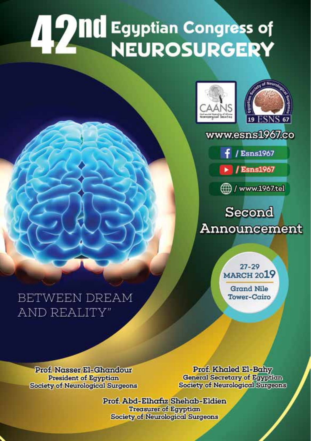# 42nd Egyptian Congress of



www.esns1967.co

 $f$  / Esns1967

 $\blacktriangleright$  / Esns1967

(ff) / www.1967.tel

# Second Announcement

BETWEEN DREAM **AND REALITY"** 

 $27 - 29$ **MARCH 2019** 

**Grand Nile Tower-Cairo** 

**Prof. Nasser El-Ghandour President of Egyptian Society of Neurological Surgeons** 

Prof. Khaled El-Bahy **General Secretary of Egyptian Society of Neurological Surgeons** 

Prof. Abd-Elhafız Shehab-Eldien **Treasurer of Egyptian** Society of Neurological Surgeons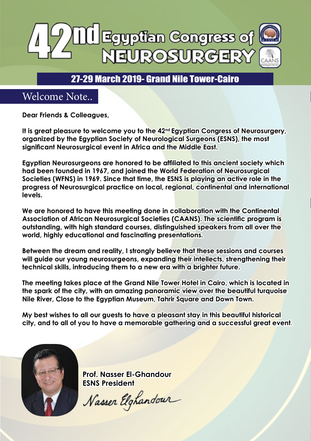

# 27-29 March 2019- Grand Nile Tower-Cairo

# Welcome Note...

**Dear Friends & Colleagues,**

It is great pleasure to welcome you to the 42<sup>nd</sup> Egyptian Congress of Neurosurgery, **organized by the Egyptian Society of Neurological Surgeons (ESNS), the most significant Neurosurgical event in Africa and the Middle East.** 

**Egyptian Neurosurgeons are honored to be affiliated to this ancient society which had been founded in 1967, and joined the World Federation of Neurosurgical Societies (WFNS) in 1969. Since that time, the ESNS is playing an active role in the progress of Neurosurgical practice on local, regional, continental and international levels.** 

**We are honored to have this meeting done in collaboration with the Continental Association of African Neurosurgical Societies (CAANS). The scientific program is outstanding, with high standard courses, distinguished speakers from all over the world, highly educational and fascinating presentations.**

**Between the dream and reality, I strongly believe that these sessions and courses will guide our young neurosurgeons, expanding their intellects, strengthening their technical skills, introducing them to a new era with a brighter future.** 

**The meeting takes place at the Grand Nile Tower Hotel in Cairo, which is located in the spark of the city, with an amazing panoramic view over the beautiful turquoise Nile River, Close to the Egyptian Museum, Tahrir Square and Down Town.** 

**My best wishes to all our guests to have a pleasant stay in this beautiful historical city, and to all of you to have a memorable gathering and a successful great event.**



**Prof. Nasser El-Ghandour ESNS President**

Nasser Elghandour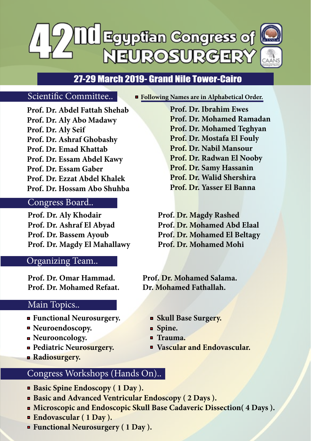

# 27-29 March 2019- Grand Nile Tower-Cairo

# Scientific Committee..

**Prof. Dr. Abdel Fattah Shehab Prof. Dr. Aly Abo Madawy Prof. Dr. Aly Seif Prof. Dr. Ashraf Ghobashy Prof. Dr. Emad Khattab Prof. Dr. Essam Abdel Kawy Prof. Dr. Essam Gaber Prof. Dr. Ezzat Abdel Khalek Prof. Dr. Hossam Abo Shuhba** 

# Congress Board..

**Prof. Dr. Aly Khodair Prof. Dr. Ashraf El Abyad Prof. Dr. Bassem Ayoub Prof. Dr. Magdy El Mahallawy**

# Organizing Team..

**Prof. Dr. Omar Hammad. Prof. Dr. Mohamed Refaat.**

# Main Topics..

- **Functional Neurosurgery.**
- **Neuroendoscopy.**
- **Neurooncology.**
- **Pediatric Neurosurgery.**
- **Radiosurgery.**

# Congress Workshops (Hands On)..

- **Basic Spine Endoscopy (1 Day).**
- **Basic and Advanced Ventricular Endoscopy ( 2 Days ).**
- **Microscopic and Endoscopic Skull Base Cadaveric Dissection(4 Days).**
- **Endovascular ( 1 Day ).**
- **Functional Neurosurgery ( 1 Day ).**

**Following Names are in Alphabetical Order.**

**Prof. Dr. Ibrahim Ewes Prof. Dr. Mohamed Ramadan Prof. Dr. Mohamed Teghyan Prof. Dr. Mostafa El Fouly Prof. Dr. Nabil Mansour Prof. Dr. Radwan El Nooby Prof. Dr. Samy Hassanin Prof. Dr. Walid Shershira Prof. Dr. Yasser El Banna** 

**Prof. Dr. Magdy Rashed Prof. Dr. Mohamed Abd Elaal Prof. Dr. Mohamed El Beltagy Prof. Dr. Mohamed Mohi**

**Dr. Mohamed Fathallah. Prof. Dr. Mohamed Salama.**

- **Skull Base Surgery.**
- **Spine.**
- **Trauma.**
- **Vascular and Endovascular.**